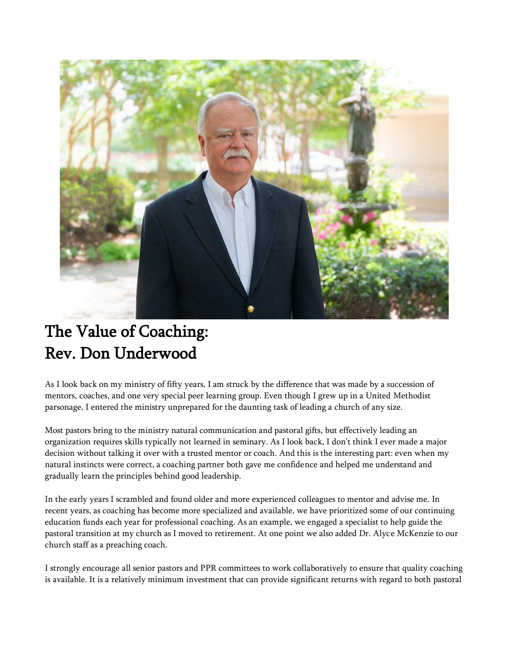

## The Value of Coaching: Rev. Don Underwood

As I look back on my ministry of fifty years, I am struck by the difference that was made by a succession of mentors, coaches, and one very special peer learning group. Even though I grew up in a United Methodist parsonage, I entered the ministry unprepared for the daunting task of leading a church of any size.

Most pastors bring to the ministry natural communication and pastoral gifts, but effectively leading an organization requires skills typically not learned in seminary. As I look back, I don't think I ever made a major decision without talking it over with a trusted mentor or coach. And this is the interesting part: even when my natural instincts were correct, a coaching partner both gave me confidence and helped me understand and gradually learn the principles behind good leadership.

In the early years I scrambled and found older and more experienced colleagues to mentor and advise me. In recent years, as coaching has become more specialized and available, we have prioritized some of our continuing education funds each year for professional coaching. As an example, we engaged a specialist to help guide the pastoral transition at my church as I moved to retirement. At one point we also added Dr. Alyce McKenzie to our church staff as a preaching coach.

I strongly encourage all senior pastors and PPR committees to work collaboratively to ensure that quality coaching is available. It is a relatively minimum investment that can provide significant returns with regard to both pastoral